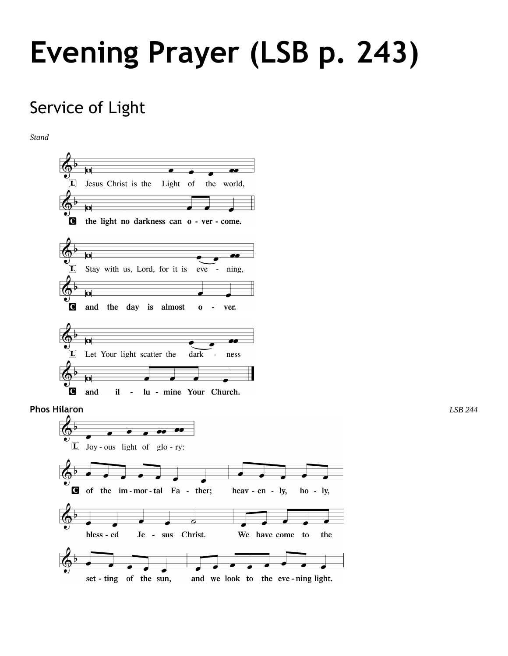# **Evening Prayer (LSB p. 243)**

# Service of Light

*Stand*

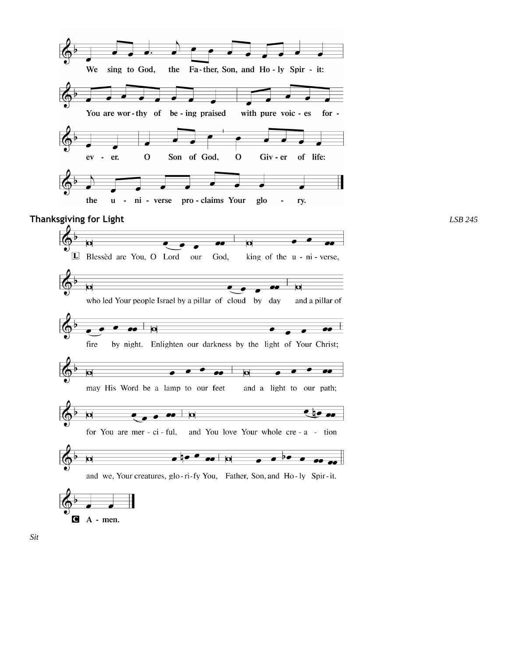

**Thanksgiving for Light** *LSB 245*

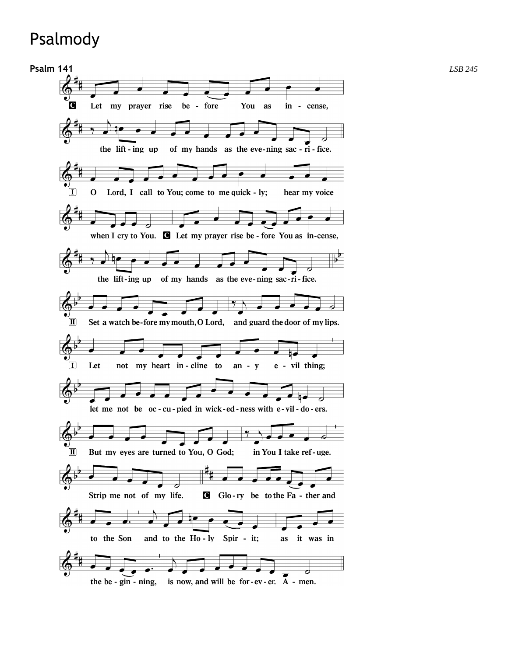# Psalmody

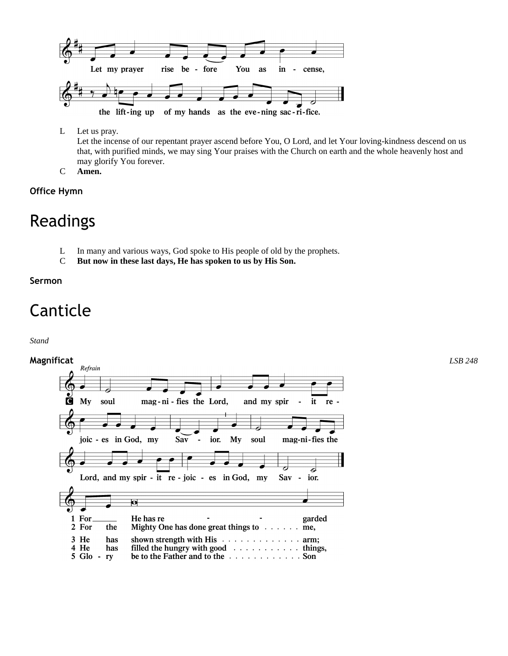

- L Let us pray. Let the incense of our repentant prayer ascend before You, O Lord, and let Your loving-kindness descend on us that, with purified minds, we may sing Your praises with the Church on earth and the whole heavenly host and may glorify You forever.
- C **Amen.**

### **Office Hymn**

# Readings

- L In many and various ways, God spoke to His people of old by the prophets.
- C **But now in these last days, He has spoken to us by His Son.**

### **Sermon**

# Canticle

### *Stand*

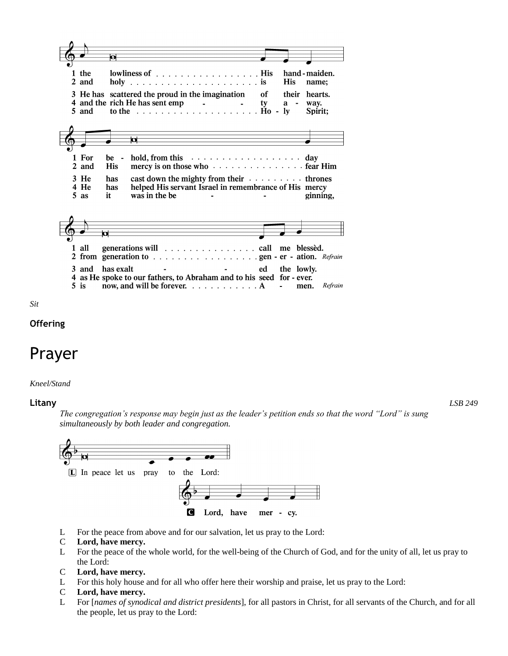



### **Offering**

### Prayer

### *Kneel/Stand*

#### **Litany** *LSB 249*

*The congregation's response may begin just as the leader's petition ends so that the word "Lord" is sung simultaneously by both leader and congregation.*



- L For the peace from above and for our salvation, let us pray to the Lord:
- C **Lord, have mercy.**
- L For the peace of the whole world, for the well-being of the Church of God, and for the unity of all, let us pray to the Lord:
- C **Lord, have mercy.**
- L For this holy house and for all who offer here their worship and praise, let us pray to the Lord:
- C **Lord, have mercy.**
- L For [*names of synodical and district presidents*], for all pastors in Christ, for all servants of the Church, and for all the people, let us pray to the Lord: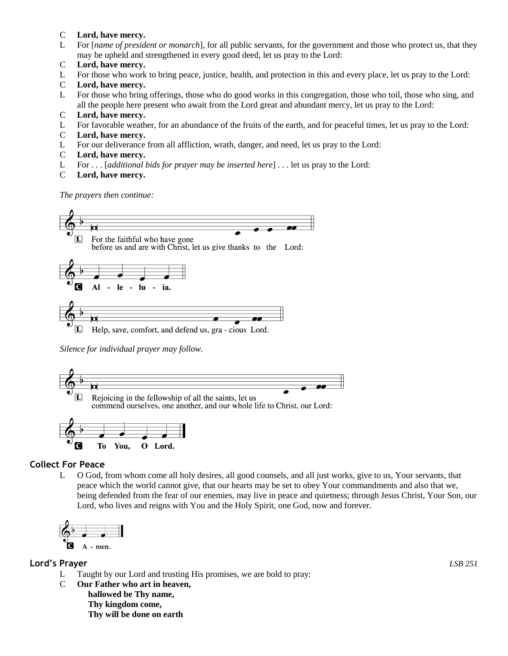### C **Lord, have mercy.**

- L For [*name of president or monarch*], for all public servants, for the government and those who protect us, that they may be upheld and strengthened in every good deed, let us pray to the Lord:
- C **Lord, have mercy.**
- L For those who work to bring peace, justice, health, and protection in this and every place, let us pray to the Lord:
- C **Lord, have mercy.**
- L For those who bring offerings, those who do good works in this congregation, those who toil, those who sing, and all the people here present who await from the Lord great and abundant mercy, let us pray to the Lord:
- C **Lord, have mercy.**
- L For favorable weather, for an abundance of the fruits of the earth, and for peaceful times, let us pray to the Lord:
- C **Lord, have mercy.**
- L For our deliverance from all affliction, wrath, danger, and need, let us pray to the Lord:
- C **Lord, have mercy.**
- L For . . . [*additional bids for prayer may be inserted here*] . . . let us pray to the Lord:
- C **Lord, have mercy.**

*The prayers then continue:*



*Silence for individual prayer may follow.*





### **Collect For Peace**

L O God, from whom come all holy desires, all good counsels, and all just works, give to us, Your servants, that peace which the world cannot give, that our hearts may be set to obey Your commandments and also that we, being defended from the fear of our enemies, may live in peace and quietness; through Jesus Christ, Your Son, our Lord, who lives and reigns with You and the Holy Spirit, one God, now and forever.



### **Lord's Prayer** *LSB 251*

- L Taught by our Lord and trusting His promises, we are bold to pray:
- C **Our Father who art in heaven, hallowed be Thy name, Thy kingdom come, Thy will be done on earth**